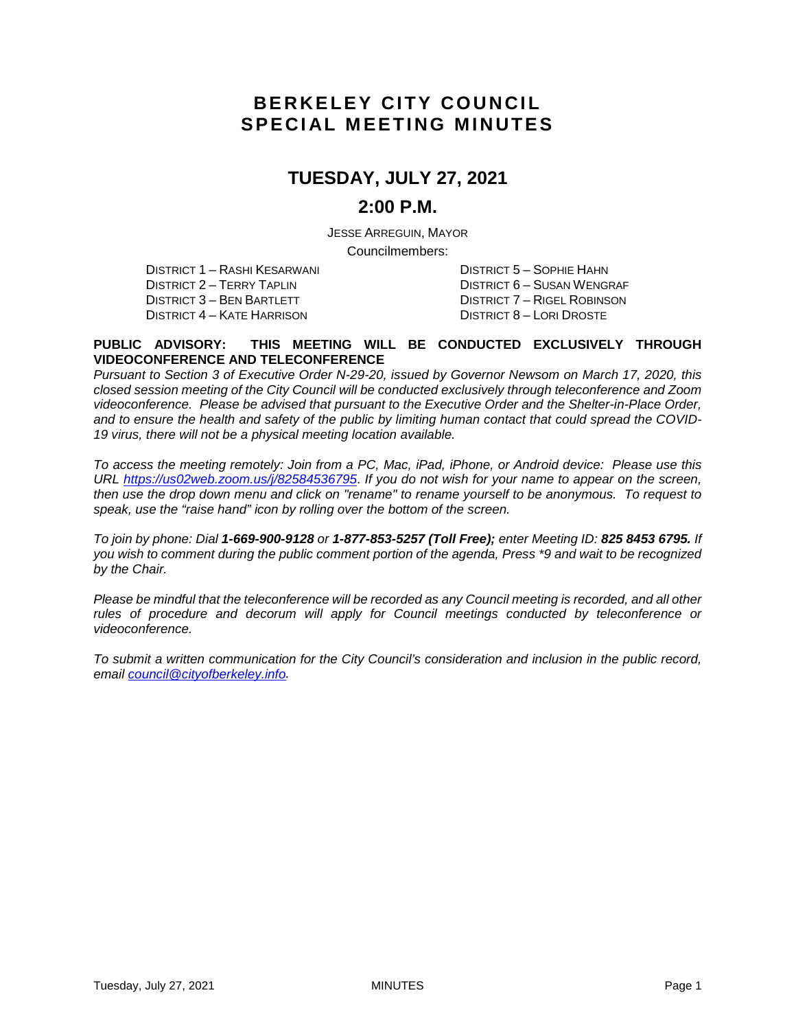# **BERKELEY CITY COUNCIL SPECIAL MEETING MINUTES**

# **TUESDAY, JULY 27, 2021**

### **2:00 P.M.**

JESSE ARREGUIN, MAYOR Councilmembers:

DISTRICT 1 – RASHI KESARWANI DISTRICT 5 – SOPHIE HAHN DISTRICT 4 – KATE HARRISON DISTRICT 8 – LORI DROSTE

DISTRICT 2 – TERRY TAPLIN DISTRICT 6 – SUSAN WENGRAF DISTRICT 3 – BEN BARTLETT DISTRICT 7 – RIGEL ROBINSON

#### **PUBLIC ADVISORY: THIS MEETING WILL BE CONDUCTED EXCLUSIVELY THROUGH VIDEOCONFERENCE AND TELECONFERENCE**

*Pursuant to Section 3 of Executive Order N-29-20, issued by Governor Newsom on March 17, 2020, this closed session meeting of the City Council will be conducted exclusively through teleconference and Zoom videoconference. Please be advised that pursuant to the Executive Order and the Shelter-in-Place Order, and to ensure the health and safety of the public by limiting human contact that could spread the COVID-19 virus, there will not be a physical meeting location available.* 

*To access the meeting remotely: Join from a PC, Mac, iPad, iPhone, or Android device: Please use this URL<https://us02web.zoom.us/j/82584536795>*. *If you do not wish for your name to appear on the screen, then use the drop down menu and click on "rename" to rename yourself to be anonymous. To request to speak, use the "raise hand" icon by rolling over the bottom of the screen.* 

*To join by phone: Dial 1-669-900-9128 or 1-877-853-5257 (Toll Free); enter Meeting ID: 825 8453 6795. If you wish to comment during the public comment portion of the agenda, Press \*9 and wait to be recognized by the Chair.* 

*Please be mindful that the teleconference will be recorded as any Council meeting is recorded, and all other rules of procedure and decorum will apply for Council meetings conducted by teleconference or videoconference.*

*To submit a written communication for the City Council's consideration and inclusion in the public record, email [council@cityofberkeley.info.](mailto:council@cityofberkeley.info)*